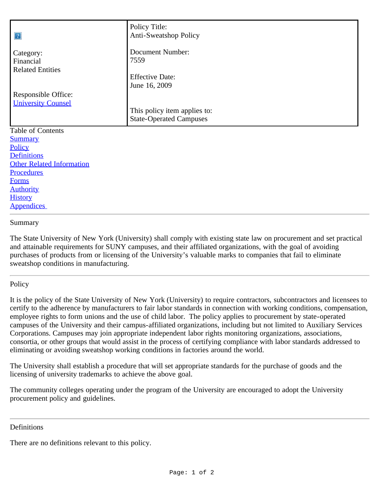| 2                                                | Policy Title:<br>Anti-Sweatshop Policy                         |
|--------------------------------------------------|----------------------------------------------------------------|
| Category:<br>Financial                           | Document Number:<br>7559                                       |
| <b>Related Entities</b>                          | <b>Effective Date:</b><br>June 16, 2009                        |
| Responsible Office:<br><b>University Counsel</b> |                                                                |
|                                                  | This policy item applies to:<br><b>State-Operated Campuses</b> |
| Table of Contents                                |                                                                |
| <b>Summary</b>                                   |                                                                |
| Policy                                           |                                                                |
| <b>Definitions</b>                               |                                                                |
| <b>Other Related Information</b>                 |                                                                |
| <b>Procedures</b>                                |                                                                |
| <b>Forms</b>                                     |                                                                |

**[Authority](#page-1-3) [History](#page-1-4) Appendices** 

## <span id="page-0-0"></span>Summary

The State University of New York (University) shall comply with existing state law on procurement and set practical and attainable requirements for SUNY campuses, and their affiliated organizations, with the goal of avoiding purchases of products from or licensing of the University's valuable marks to companies that fail to eliminate sweatshop conditions in manufacturing.

## <span id="page-0-1"></span>**Policy**

It is the policy of the State University of New York (University) to require contractors, subcontractors and licensees to certify to the adherence by manufacturers to fair labor standards in connection with working conditions, compensation, employee rights to form unions and the use of child labor. The policy applies to procurement by state-operated campuses of the University and their campus-affiliated organizations, including but not limited to Auxiliary Services Corporations. Campuses may join appropriate independent labor rights monitoring organizations, associations, consortia, or other groups that would assist in the process of certifying compliance with labor standards addressed to eliminating or avoiding sweatshop working conditions in factories around the world.

The University shall establish a procedure that will set appropriate standards for the purchase of goods and the licensing of university trademarks to achieve the above goal.

The community colleges operating under the program of the University are encouraged to adopt the University procurement policy and guidelines.

#### <span id="page-0-2"></span>Definitions

There are no definitions relevant to this policy.